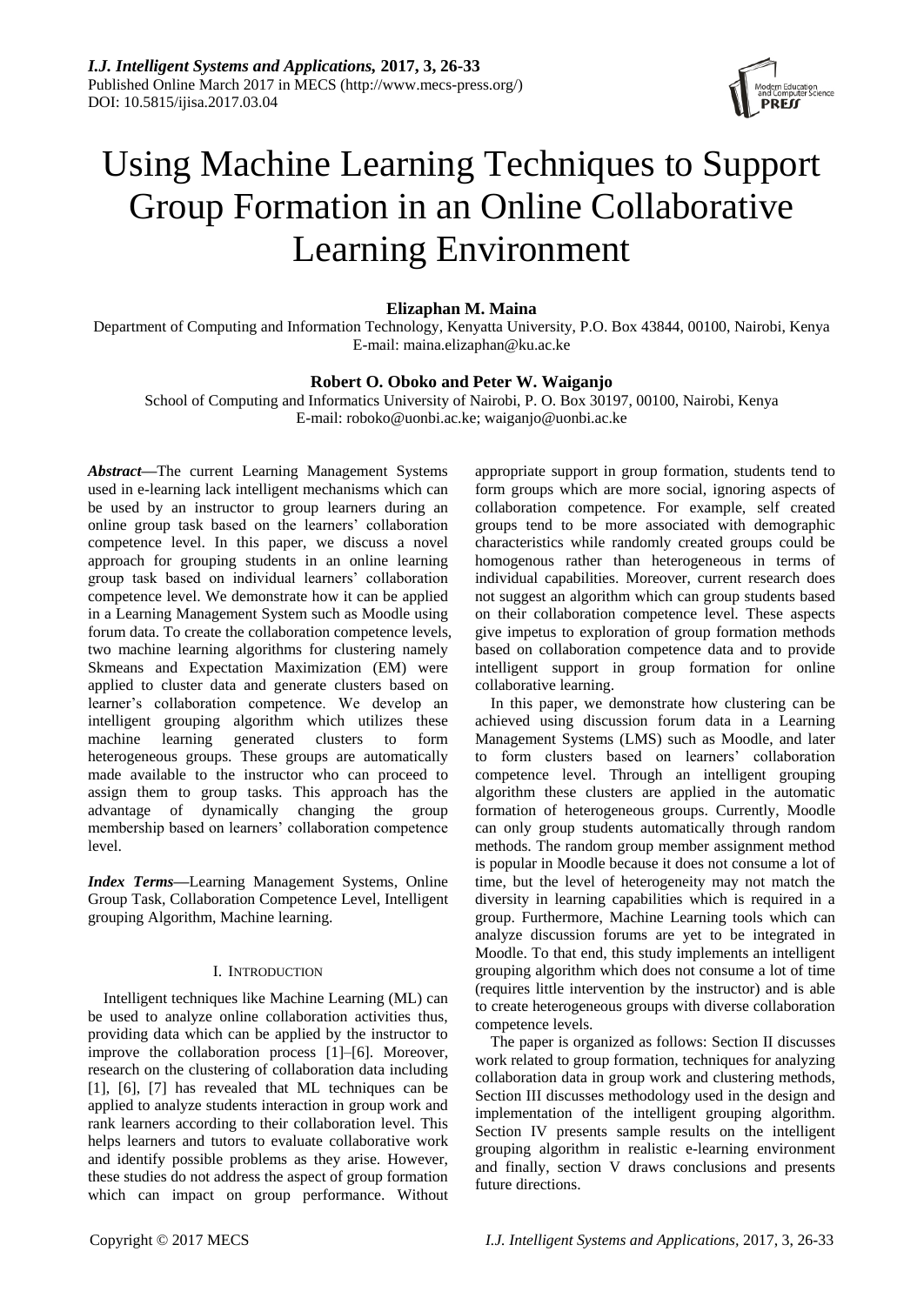

# Using Machine Learning Techniques to Support Group Formation in an Online Collaborative Learning Environment

**Elizaphan M. Maina**

Department of Computing and Information Technology, Kenyatta University, P.O. Box 43844, 00100, Nairobi, Kenya E-mail: [maina.elizaphan@ku.ac.ke](mailto:maina.elizaphan@ku.ac.ke)

# **Robert O. Oboko and Peter W. Waiganjo**

School of Computing and Informatics University of Nairobi, P. O. Box 30197, 00100, Nairobi, Kenya E-mail[: roboko@uonbi.ac.ke;](mailto:roboko@uonbi.ac.ke) [waiganjo@uonbi.ac.ke](mailto:waiganjo@uonbi.ac.ke)

*Abstract***—**The current Learning Management Systems used in e-learning lack intelligent mechanisms which can be used by an instructor to group learners during an online group task based on the learners" collaboration competence level. In this paper, we discuss a novel approach for grouping students in an online learning group task based on individual learners" collaboration competence level. We demonstrate how it can be applied in a Learning Management System such as Moodle using forum data. To create the collaboration competence levels, two machine learning algorithms for clustering namely Skmeans and Expectation Maximization (EM) were applied to cluster data and generate clusters based on learner"s collaboration competence. We develop an intelligent grouping algorithm which utilizes these machine learning generated clusters to form heterogeneous groups. These groups are automatically made available to the instructor who can proceed to assign them to group tasks. This approach has the advantage of dynamically changing the group membership based on learners" collaboration competence level.

*Index Terms***—**Learning Management Systems, Online Group Task, Collaboration Competence Level, Intelligent grouping Algorithm, Machine learning.

# I. INTRODUCTION

Intelligent techniques like Machine Learning (ML) can be used to analyze online collaboration activities thus, providing data which can be applied by the instructor to improve the collaboration process [1]–[6]. Moreover, research on the clustering of collaboration data including [1], [6], [7] has revealed that ML techniques can be applied to analyze students interaction in group work and rank learners according to their collaboration level. This helps learners and tutors to evaluate collaborative work and identify possible problems as they arise. However, these studies do not address the aspect of group formation which can impact on group performance. Without appropriate support in group formation, students tend to form groups which are more social, ignoring aspects of collaboration competence. For example, self created groups tend to be more associated with demographic characteristics while randomly created groups could be homogenous rather than heterogeneous in terms of individual capabilities. Moreover, current research does not suggest an algorithm which can group students based on their collaboration competence level. These aspects give impetus to exploration of group formation methods based on collaboration competence data and to provide intelligent support in group formation for online collaborative learning.

In this paper, we demonstrate how clustering can be achieved using discussion forum data in a Learning Management Systems (LMS) such as Moodle, and later to form clusters based on learners" collaboration competence level. Through an intelligent grouping algorithm these clusters are applied in the automatic formation of heterogeneous groups. Currently, Moodle can only group students automatically through random methods. The random group member assignment method is popular in Moodle because it does not consume a lot of time, but the level of heterogeneity may not match the diversity in learning capabilities which is required in a group. Furthermore, Machine Learning tools which can analyze discussion forums are yet to be integrated in Moodle. To that end, this study implements an intelligent grouping algorithm which does not consume a lot of time (requires little intervention by the instructor) and is able to create heterogeneous groups with diverse collaboration competence levels.

The paper is organized as follows: Section II discusses work related to group formation, techniques for analyzing collaboration data in group work and clustering methods, Section III discusses methodology used in the design and implementation of the intelligent grouping algorithm. Section IV presents sample results on the intelligent grouping algorithm in realistic e-learning environment and finally, section V draws conclusions and presents future directions.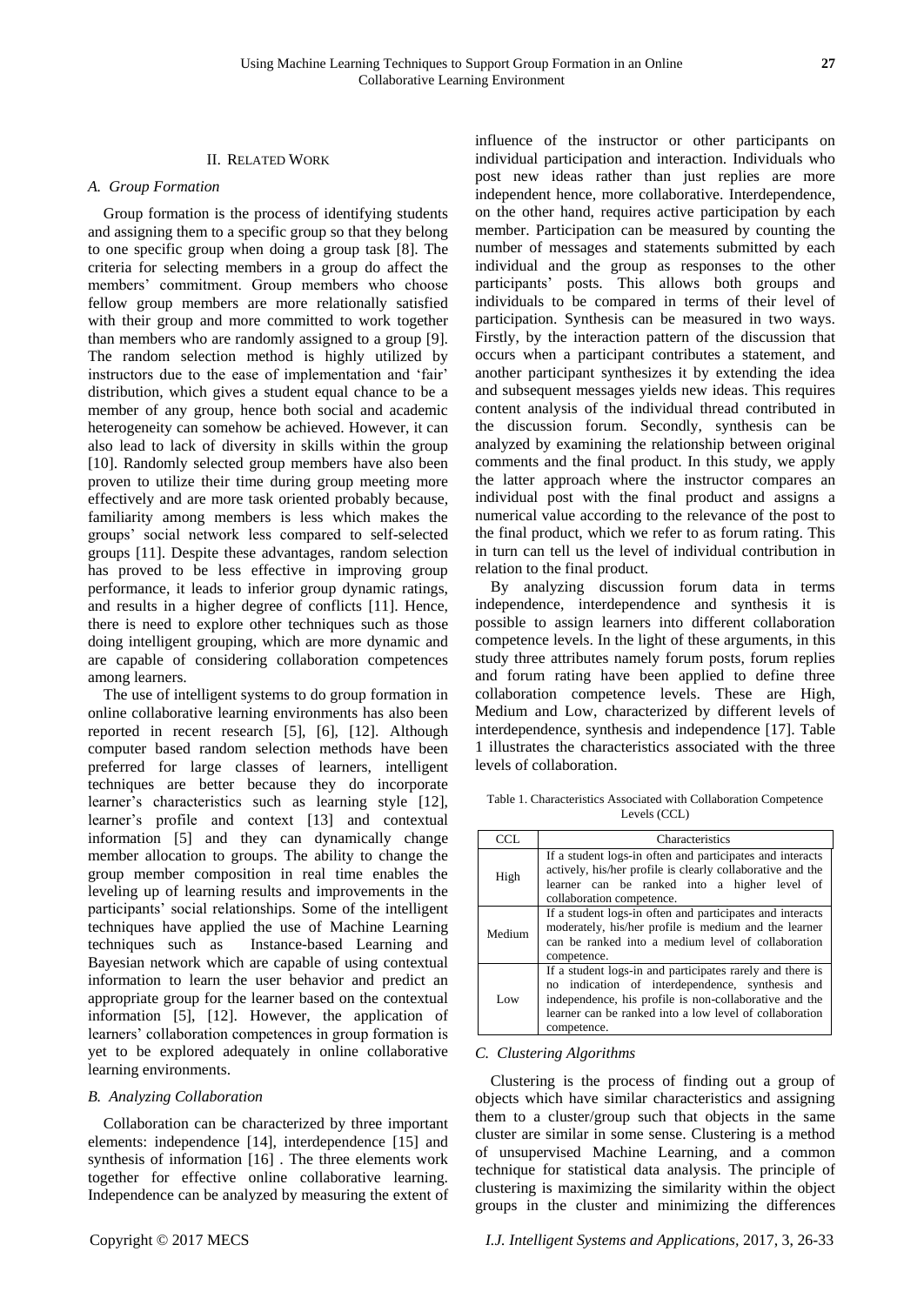### II. RELATED WORK

# *A. Group Formation*

Group formation is the process of identifying students and assigning them to a specific group so that they belong to one specific group when doing a group task [8]. The criteria for selecting members in a group do affect the members" commitment. Group members who choose fellow group members are more relationally satisfied with their group and more committed to work together than members who are randomly assigned to a group [9]. The random selection method is highly utilized by instructors due to the ease of implementation and 'fair' distribution, which gives a student equal chance to be a member of any group, hence both social and academic heterogeneity can somehow be achieved. However, it can also lead to lack of diversity in skills within the group [10]. Randomly selected group members have also been proven to utilize their time during group meeting more effectively and are more task oriented probably because, familiarity among members is less which makes the groups" social network less compared to self-selected groups [11]. Despite these advantages, random selection has proved to be less effective in improving group performance, it leads to inferior group dynamic ratings, and results in a higher degree of conflicts [11]. Hence, there is need to explore other techniques such as those doing intelligent grouping, which are more dynamic and are capable of considering collaboration competences among learners.

The use of intelligent systems to do group formation in online collaborative learning environments has also been reported in recent research [5], [6], [12]. Although computer based random selection methods have been preferred for large classes of learners, intelligent techniques are better because they do incorporate learner's characteristics such as learning style [12], learner"s profile and context [13] and contextual information [5] and they can dynamically change member allocation to groups. The ability to change the group member composition in real time enables the leveling up of learning results and improvements in the participants" social relationships. Some of the intelligent techniques have applied the use of Machine Learning techniques such as Instance-based Learning and Bayesian network which are capable of using contextual information to learn the user behavior and predict an appropriate group for the learner based on the contextual information [5], [12]. However, the application of learners' collaboration competences in group formation is yet to be explored adequately in online collaborative learning environments.

### *B. Analyzing Collaboration*

Collaboration can be characterized by three important elements: independence [14], interdependence [15] and synthesis of information [16] . The three elements work together for effective online collaborative learning. Independence can be analyzed by measuring the extent of influence of the instructor or other participants on individual participation and interaction. Individuals who post new ideas rather than just replies are more independent hence, more collaborative. Interdependence, on the other hand, requires active participation by each member. Participation can be measured by counting the number of messages and statements submitted by each individual and the group as responses to the other participants" posts. This allows both groups and individuals to be compared in terms of their level of participation. Synthesis can be measured in two ways. Firstly, by the interaction pattern of the discussion that occurs when a participant contributes a statement, and another participant synthesizes it by extending the idea and subsequent messages yields new ideas. This requires content analysis of the individual thread contributed in the discussion forum. Secondly, synthesis can be analyzed by examining the relationship between original comments and the final product. In this study, we apply the latter approach where the instructor compares an individual post with the final product and assigns a numerical value according to the relevance of the post to the final product, which we refer to as forum rating. This in turn can tell us the level of individual contribution in relation to the final product.

By analyzing discussion forum data in terms independence, interdependence and synthesis it is possible to assign learners into different collaboration competence levels. In the light of these arguments, in this study three attributes namely forum posts, forum replies and forum rating have been applied to define three collaboration competence levels. These are High, Medium and Low, characterized by different levels of interdependence, synthesis and independence [17]. Table 1 illustrates the characteristics associated with the three levels of collaboration.

Table 1. Characteristics Associated with Collaboration Competence Levels (CCL)

| CCL.   | Characteristics                                                                                                                                                                                                                                  |  |  |  |  |  |  |  |
|--------|--------------------------------------------------------------------------------------------------------------------------------------------------------------------------------------------------------------------------------------------------|--|--|--|--|--|--|--|
| High   | If a student logs-in often and participates and interacts<br>actively, his/her profile is clearly collaborative and the<br>learner can be ranked into a higher level of<br>collaboration competence.                                             |  |  |  |  |  |  |  |
| Medium | If a student logs-in often and participates and interacts<br>moderately, his/her profile is medium and the learner<br>can be ranked into a medium level of collaboration<br>competence.                                                          |  |  |  |  |  |  |  |
| Low    | If a student logs-in and participates rarely and there is<br>no indication of interdependence, synthesis and<br>independence, his profile is non-collaborative and the<br>learner can be ranked into a low level of collaboration<br>competence. |  |  |  |  |  |  |  |

#### *C. Clustering Algorithms*

Clustering is the process of finding out a group of objects which have similar characteristics and assigning them to a cluster/group such that objects in the same cluster are similar in some sense. Clustering is a method of unsupervised Machine Learning, and a common technique for statistical data analysis. The principle of clustering is maximizing the similarity within the object groups in the cluster and minimizing the differences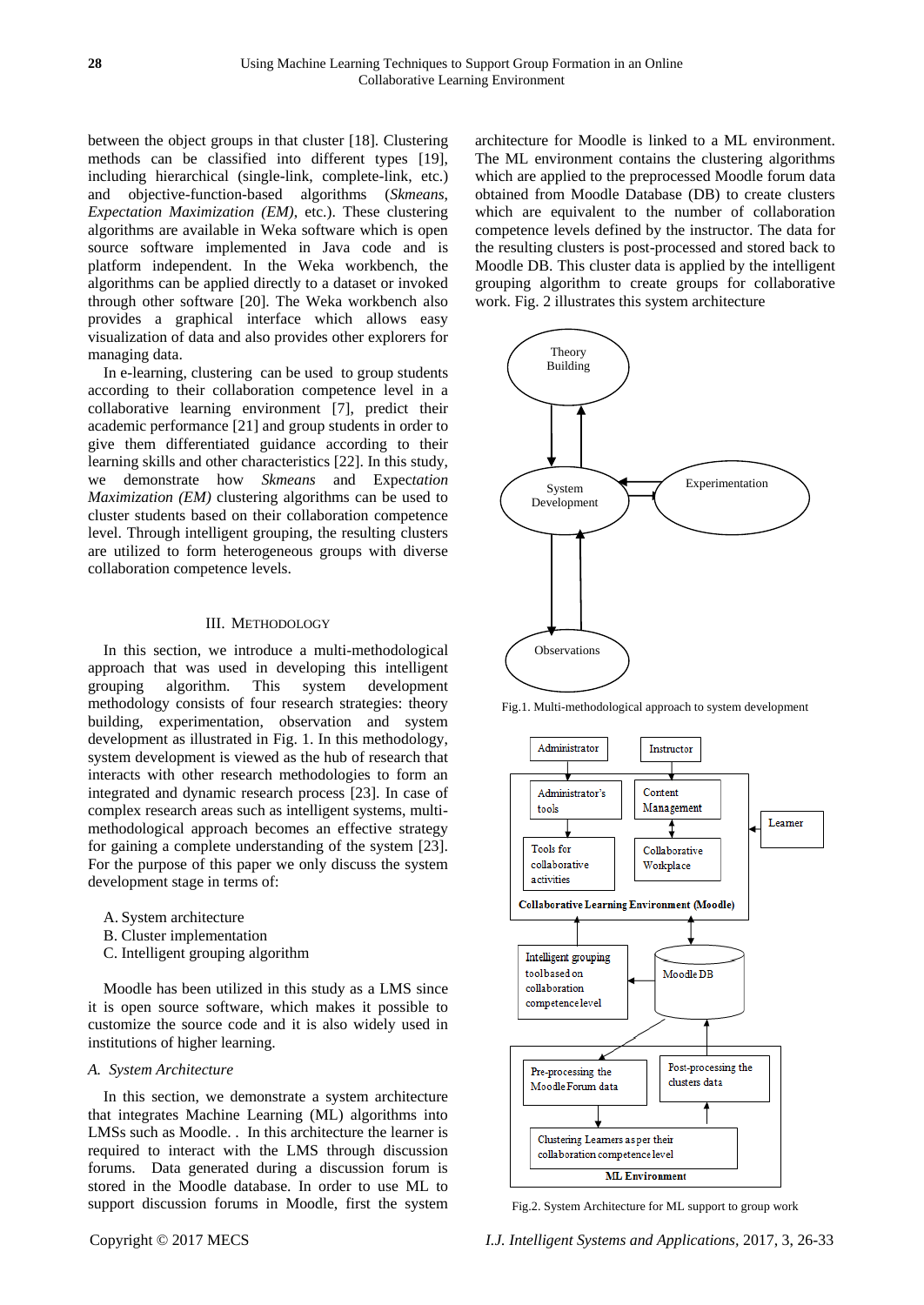between the object groups in that cluster [18]. Clustering methods can be classified into different types [19], including hierarchical (single-link, complete-link, etc.) and objective-function-based algorithms (*Skmeans*, *Expectation Maximization (EM)*, etc.). These clustering algorithms are available in Weka software which is open source software implemented in Java code and is platform independent. In the Weka workbench, the algorithms can be applied directly to a dataset or invoked through other software [20]. The Weka workbench also provides a graphical interface which allows easy visualization of data and also provides other explorers for managing data.

In e-learning, clustering can be used to group students according to their collaboration competence level in a collaborative learning environment [7], predict their academic performance [21] and group students in order to give them differentiated guidance according to their learning skills and other characteristics [22]. In this study, we demonstrate how *Skmeans* and Expec*tation Maximization (EM)* clustering algorithms can be used to cluster students based on their collaboration competence level. Through intelligent grouping, the resulting clusters are utilized to form heterogeneous groups with diverse collaboration competence levels.

# III. METHODOLOGY

In this section, we introduce a multi-methodological approach that was used in developing this intelligent grouping algorithm. This system development methodology consists of four research strategies: theory building, experimentation, observation and system development as illustrated in Fig. 1. In this methodology, system development is viewed as the hub of research that interacts with other research methodologies to form an integrated and dynamic research process [23]. In case of complex research areas such as intelligent systems, multimethodological approach becomes an effective strategy for gaining a complete understanding of the system [23]. For the purpose of this paper we only discuss the system development stage in terms of:

- A. System architecture
- B. Cluster implementation
- C. Intelligent grouping algorithm

Moodle has been utilized in this study as a LMS since it is open source software, which makes it possible to customize the source code and it is also widely used in institutions of higher learning.

# *A. System Architecture*

In this section, we demonstrate a system architecture that integrates Machine Learning (ML) algorithms into LMSs such as Moodle. . In this architecture the learner is required to interact with the LMS through discussion forums. Data generated during a discussion forum is stored in the Moodle database. In order to use ML to support discussion forums in Moodle, first the system architecture for Moodle is linked to a ML environment. The ML environment contains the clustering algorithms which are applied to the preprocessed Moodle forum data obtained from Moodle Database (DB) to create clusters which are equivalent to the number of collaboration competence levels defined by the instructor. The data for the resulting clusters is post-processed and stored back to Moodle DB. This cluster data is applied by the intelligent grouping algorithm to create groups for collaborative work. Fig. 2 illustrates this system architecture



Fig.1. Multi-methodological approach to system development



Fig.2. System Architecture for ML support to group work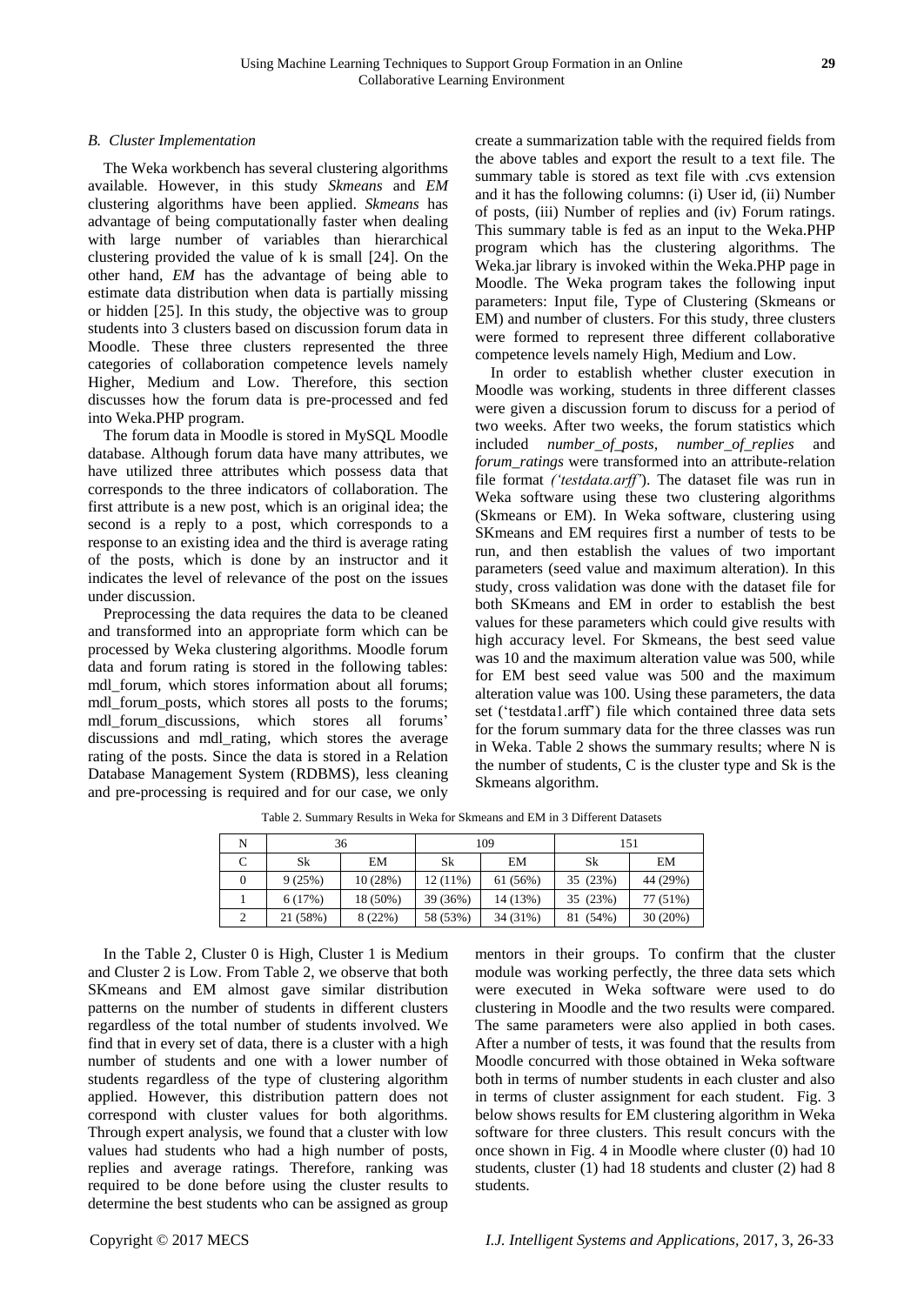# *B. Cluster Implementation*

The Weka workbench has several clustering algorithms available. However, in this study *Skmeans* and *EM* clustering algorithms have been applied. *Skmeans* has advantage of being computationally faster when dealing with large number of variables than hierarchical clustering provided the value of k is small [24]. On the other hand, *EM* has the advantage of being able to estimate data distribution when data is partially missing or hidden [25]. In this study, the objective was to group students into 3 clusters based on discussion forum data in Moodle. These three clusters represented the three categories of collaboration competence levels namely Higher, Medium and Low. Therefore, this section discusses how the forum data is pre-processed and fed into Weka.PHP program.

The forum data in Moodle is stored in MySQL Moodle database. Although forum data have many attributes, we have utilized three attributes which possess data that corresponds to the three indicators of collaboration. The first attribute is a new post, which is an original idea; the second is a reply to a post, which corresponds to a response to an existing idea and the third is average rating of the posts, which is done by an instructor and it indicates the level of relevance of the post on the issues under discussion.

Preprocessing the data requires the data to be cleaned and transformed into an appropriate form which can be processed by Weka clustering algorithms. Moodle forum data and forum rating is stored in the following tables: mdl\_forum, which stores information about all forums; mdl\_forum\_posts, which stores all posts to the forums; mdl\_forum\_discussions, which stores all forums" discussions and mdl rating, which stores the average rating of the posts. Since the data is stored in a Relation Database Management System (RDBMS), less cleaning and pre-processing is required and for our case, we only

create a summarization table with the required fields from the above tables and export the result to a text file. The summary table is stored as text file with .cvs extension and it has the following columns: (i) User id, (ii) Number of posts, (iii) Number of replies and (iv) Forum ratings. This summary table is fed as an input to the Weka.PHP program which has the clustering algorithms. The Weka.jar library is invoked within the Weka.PHP page in Moodle. The Weka program takes the following input parameters: Input file, Type of Clustering (Skmeans or EM) and number of clusters. For this study, three clusters were formed to represent three different collaborative competence levels namely High, Medium and Low.

In order to establish whether cluster execution in Moodle was working, students in three different classes were given a discussion forum to discuss for a period of two weeks. After two weeks, the forum statistics which included *number\_of\_posts, number\_of\_replies* and *forum\_ratings* were transformed into an attribute-relation file format *('testdata.arff'*). The dataset file was run in Weka software using these two clustering algorithms (Skmeans or EM). In Weka software, clustering using SKmeans and EM requires first a number of tests to be run, and then establish the values of two important parameters (seed value and maximum alteration). In this study, cross validation was done with the dataset file for both SKmeans and EM in order to establish the best values for these parameters which could give results with high accuracy level. For Skmeans, the best seed value was 10 and the maximum alteration value was 500, while for EM best seed value was 500 and the maximum alteration value was 100. Using these parameters, the data set ("testdata1.arff") file which contained three data sets for the forum summary data for the three classes was run in Weka. Table 2 shows the summary results; where N is the number of students, C is the cluster type and Sk is the Skmeans algorithm.

| N | 36       |          | 109        |          | 151      |          |
|---|----------|----------|------------|----------|----------|----------|
| C | Sk       | EM       | Sk         | EМ       | Sk       | EM       |
|   | 9(25%)   | 10(28%)  | $12(11\%)$ | 61 (56%) | 35 (23%) | 44 (29%) |
|   | 6(17%)   | 18 (50%) | 39 (36%)   | 14 (13%) | 35 (23%) | 77 (51%) |
|   | 21 (58%) | 8(22%)   | 58 (53%)   | 34 (31%) | 81 (54%) | 30(20%)  |

Table 2. Summary Results in Weka for Skmeans and EM in 3 Different Datasets

In the Table 2, Cluster 0 is High, Cluster 1 is Medium and Cluster 2 is Low. From Table 2, we observe that both SKmeans and EM almost gave similar distribution patterns on the number of students in different clusters regardless of the total number of students involved. We find that in every set of data, there is a cluster with a high number of students and one with a lower number of students regardless of the type of clustering algorithm applied. However, this distribution pattern does not correspond with cluster values for both algorithms. Through expert analysis, we found that a cluster with low values had students who had a high number of posts, replies and average ratings. Therefore, ranking was required to be done before using the cluster results to determine the best students who can be assigned as group

mentors in their groups. To confirm that the cluster module was working perfectly, the three data sets which were executed in Weka software were used to do clustering in Moodle and the two results were compared. The same parameters were also applied in both cases. After a number of tests, it was found that the results from Moodle concurred with those obtained in Weka software both in terms of number students in each cluster and also in terms of cluster assignment for each student. Fig. 3 below shows results for EM clustering algorithm in Weka software for three clusters. This result concurs with the once shown in Fig. 4 in Moodle where cluster (0) had 10 students, cluster (1) had 18 students and cluster (2) had 8 students.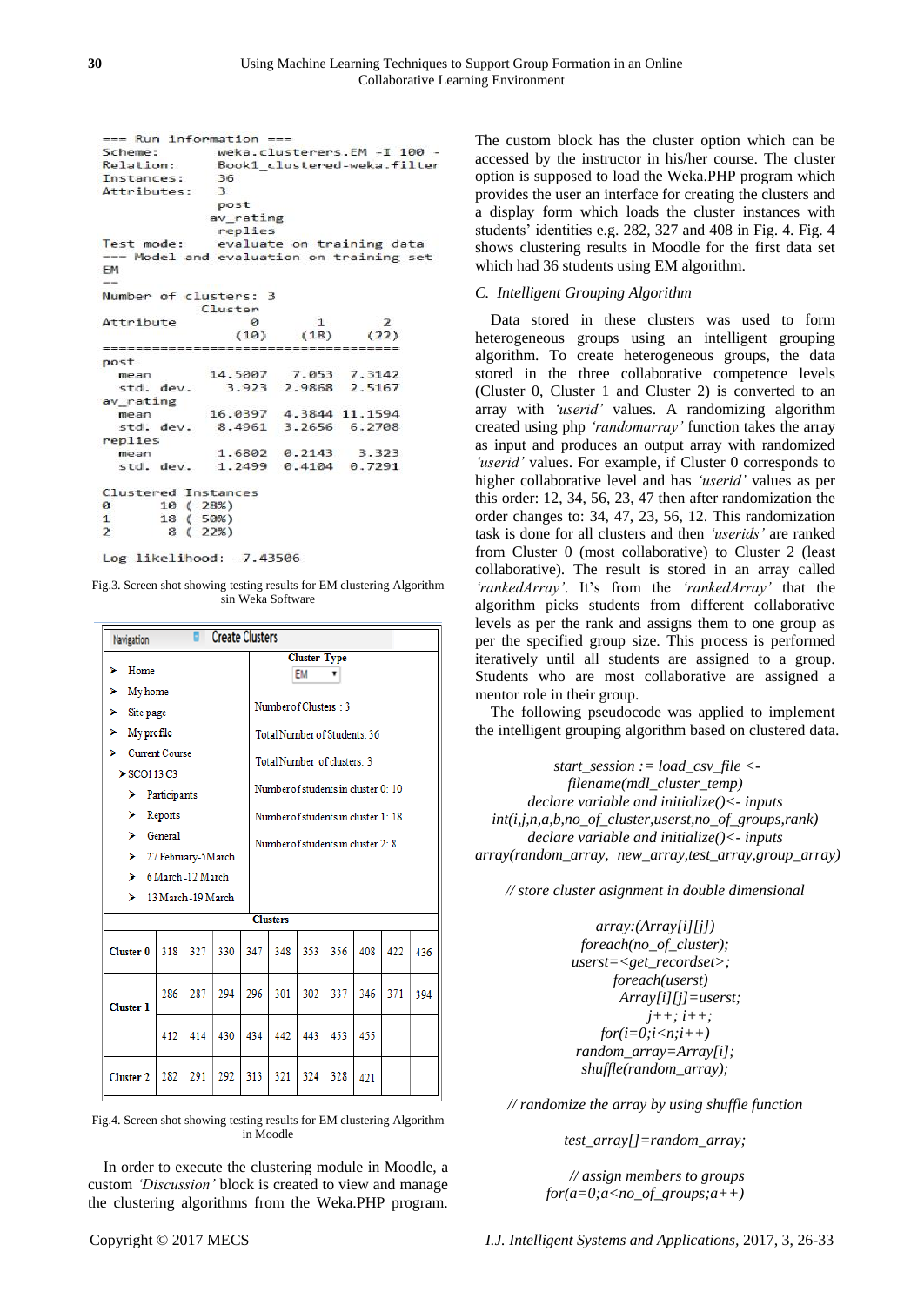| $==$ Run information $==$                |                         |                                       |                     |  |  |  |  |  |
|------------------------------------------|-------------------------|---------------------------------------|---------------------|--|--|--|--|--|
| Scheme:                                  |                         | weka.clusterers.EM -I 100 -           |                     |  |  |  |  |  |
|                                          |                         | Relation: Book1 clustered-weka.filter |                     |  |  |  |  |  |
| Instances:                               | 36                      |                                       |                     |  |  |  |  |  |
| Attributes:                              | $\overline{\mathbf{3}}$ |                                       |                     |  |  |  |  |  |
|                                          | post                    |                                       |                     |  |  |  |  |  |
|                                          | av rating               |                                       |                     |  |  |  |  |  |
|                                          | replies                 |                                       |                     |  |  |  |  |  |
|                                          |                         | Test mode: evaluate on training data  |                     |  |  |  |  |  |
| --- Model and evaluation on training set |                         |                                       |                     |  |  |  |  |  |
| <b>EM</b>                                |                         |                                       |                     |  |  |  |  |  |
| --                                       |                         |                                       |                     |  |  |  |  |  |
| Number of clusters: 3                    |                         |                                       |                     |  |  |  |  |  |
|                                          | Cluster                 |                                       |                     |  |  |  |  |  |
| Attribute                                | ø                       | $\mathbf{1}$                          | $\overline{2}$      |  |  |  |  |  |
|                                          | (10)                    | (18)                                  | (22)                |  |  |  |  |  |
| ======                                   |                         |                                       |                     |  |  |  |  |  |
| post                                     |                         |                                       |                     |  |  |  |  |  |
| mean                                     | 14.5007 7.053 7.3142    |                                       |                     |  |  |  |  |  |
| std. dev.                                | 3.923 2.9868 2.5167     |                                       |                     |  |  |  |  |  |
| av rating                                |                         |                                       |                     |  |  |  |  |  |
| mean                                     | 16.0397 4.3844 11.1594  |                                       |                     |  |  |  |  |  |
| std. dev.                                | 8.4961 3.2656 6.2708    |                                       |                     |  |  |  |  |  |
| replies                                  |                         |                                       |                     |  |  |  |  |  |
| mean                                     |                         |                                       | 1.6802 0.2143 3.323 |  |  |  |  |  |
| std. dev. 1.2499 0.4104 0.7291           |                         |                                       |                     |  |  |  |  |  |
| Clustered Instances                      |                         |                                       |                     |  |  |  |  |  |
| $\theta$<br>10 (28%)                     |                         |                                       |                     |  |  |  |  |  |
| 18 ( 50%)<br>$\mathbf{1}$                |                         |                                       |                     |  |  |  |  |  |
| 8(22%)<br>$\overline{2}$                 |                         |                                       |                     |  |  |  |  |  |
| Log likelihood: -7.43506                 |                         |                                       |                     |  |  |  |  |  |

Fig.3. Screen shot showing testing results for EM clustering Algorithm sin Weka Software

| <b>Create Clusters</b><br>Navigation        |                      |     |     |     |                                     |     |     |     |     |     |
|---------------------------------------------|----------------------|-----|-----|-----|-------------------------------------|-----|-----|-----|-----|-----|
| ъ<br>Home                                   |                      |     |     |     | <b>Cluster Type</b><br>EM           |     |     |     |     |     |
| <b>My</b> home<br>⋗                         |                      |     |     |     |                                     |     |     |     |     |     |
| ⋗<br>Site page                              |                      |     |     |     | Number of Clusters: 3               |     |     |     |     |     |
| У<br>My profile                             |                      |     |     |     | Total Number of Students: 36        |     |     |     |     |     |
| <b>Current Course</b><br>У<br>$>$ SCO113 C3 |                      |     |     |     | TotalNumber of clusters: 3          |     |     |     |     |     |
| Þ.                                          | Participants         |     |     |     | Number of students in cluster 0: 10 |     |     |     |     |     |
| Reports<br>y.                               |                      |     |     |     | Number of students in cluster 1:18  |     |     |     |     |     |
| ъ                                           | General              |     |     |     |                                     |     |     |     |     |     |
|                                             | > 27 February-5March |     |     |     | Number of students in cluster 2: 8  |     |     |     |     |     |
| 6 March -12 March<br>► .                    |                      |     |     |     |                                     |     |     |     |     |     |
| 13 March -19 March<br>ъ                     |                      |     |     |     |                                     |     |     |     |     |     |
| <b>Clusters</b>                             |                      |     |     |     |                                     |     |     |     |     |     |
| Cluster <sub>0</sub>                        | 318                  | 327 | 330 | 347 | 348                                 | 353 | 356 | 408 | 422 | 436 |
| <b>Cluster 1</b>                            | 286                  | 287 | 294 | 296 | 301                                 | 302 | 337 | 346 | 371 | 394 |
|                                             | 412                  | 414 | 430 | 434 | 442                                 | 443 | 453 | 455 |     |     |
| <b>Cluster 2</b>                            | 282                  | 291 | 292 | 313 | 321                                 | 324 | 328 | 421 |     |     |

Fig.4. Screen shot showing testing results for EM clustering Algorithm in Moodle

In order to execute the clustering module in Moodle, a custom *'Discussion'* block is created to view and manage the clustering algorithms from the Weka.PHP program. The custom block has the cluster option which can be accessed by the instructor in his/her course. The cluster option is supposed to load the Weka.PHP program which provides the user an interface for creating the clusters and a display form which loads the cluster instances with students' identities e.g. 282, 327 and 408 in Fig. 4. Fig. 4. shows clustering results in Moodle for the first data set which had 36 students using EM algorithm.

# *C. Intelligent Grouping Algorithm*

Data stored in these clusters was used to form heterogeneous groups using an intelligent grouping algorithm. To create heterogeneous groups, the data stored in the three collaborative competence levels (Cluster 0, Cluster 1 and Cluster 2) is converted to an array with *'userid'* values. A randomizing algorithm created using php *'randomarray'* function takes the array as input and produces an output array with randomized *'userid'* values. For example, if Cluster 0 corresponds to higher collaborative level and has *'userid'* values as per this order: 12, 34, 56, 23, 47 then after randomization the order changes to: 34, 47, 23, 56, 12. This randomization task is done for all clusters and then *'userids'* are ranked from Cluster 0 (most collaborative) to Cluster 2 (least collaborative). The result is stored in an array called *'rankedArray'*. It"s from the *'rankedArray'* that the algorithm picks students from different collaborative levels as per the rank and assigns them to one group as per the specified group size. This process is performed iteratively until all students are assigned to a group. Students who are most collaborative are assigned a mentor role in their group.

The following pseudocode was applied to implement the intelligent grouping algorithm based on clustered data.

*start\_session := load\_csv\_file < filename(mdl\_cluster\_temp) declare variable and initialize()<- inputs int(i,j,n,a,b,no\_of\_cluster,userst,no\_of\_groups,rank) declare variable and initialize()<- inputs array(random\_array, new\_array,test\_array,group\_array)*

*// store cluster asignment in double dimensional*

*array:(Array[i][j]) foreach(no\_of\_cluster); userst=<get\_recordset>; foreach(userst) Array[i][j]=userst; j++; i++; for(i=0;i<n;i++) random\_array=Array[i]; shuffle(random\_array);* 

*// randomize the array by using shuffle function* 

*test\_array[]=random\_array;* 

*// assign members to groups for(a=0;a<no\_of\_groups;a++)*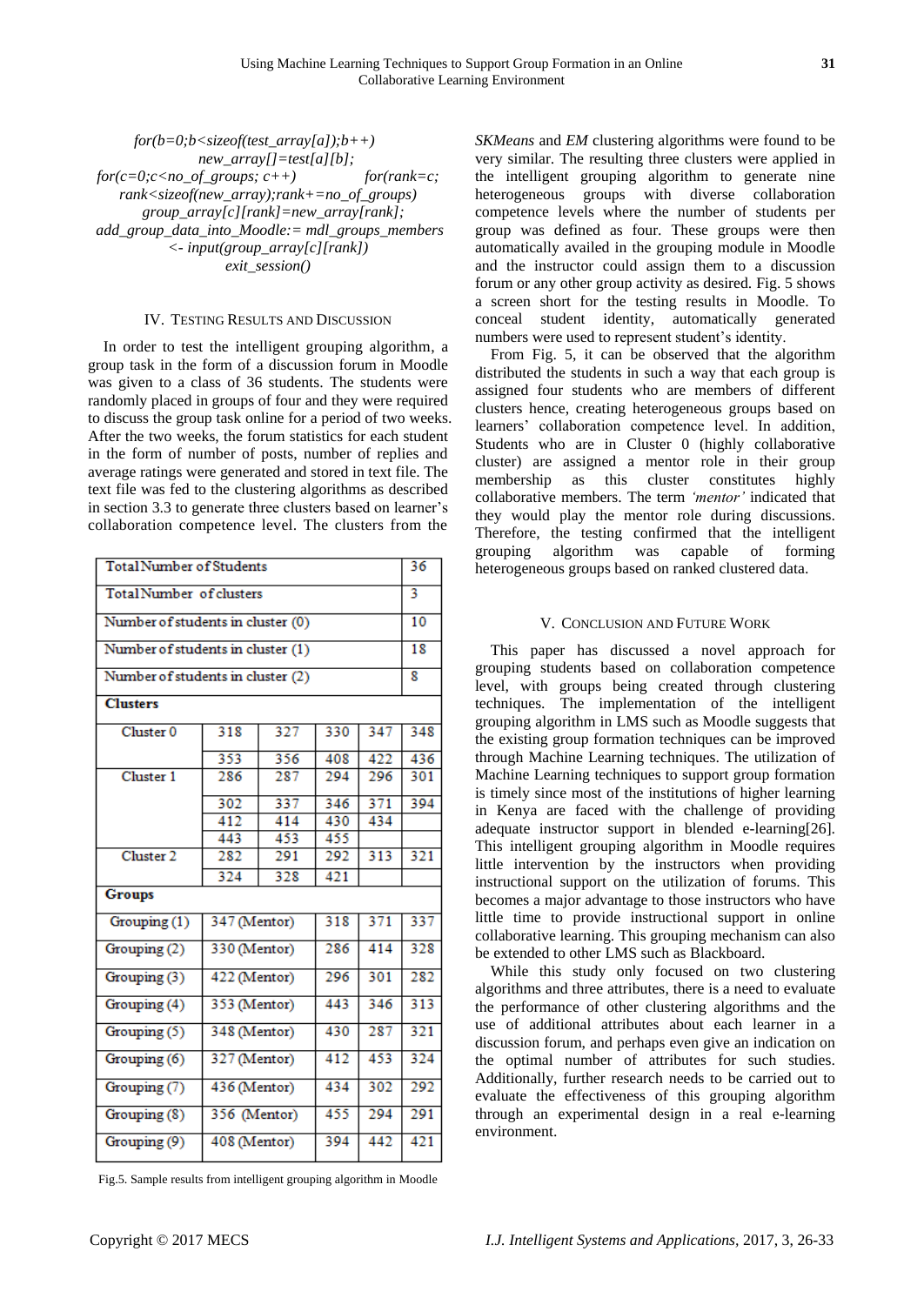*for(b=0;b<sizeof(test\_array[a]);b++) new\_array[]=test[a][b];*  $for(c=0; c  $for(rank=c;$$ *rank<sizeof(new\_array);rank+=no\_of\_groups) group\_array[c][rank]=new\_array[rank]; add\_group\_data\_into\_Moodle:= mdl\_groups\_members <- input(group\_array[c][rank]) exit\_session()*

# IV. TESTING RESULTS AND DISCUSSION

In order to test the intelligent grouping algorithm, a group task in the form of a discussion forum in Moodle was given to a class of 36 students. The students were randomly placed in groups of four and they were required to discuss the group task online for a period of two weeks. After the two weeks, the forum statistics for each student in the form of number of posts, number of replies and average ratings were generated and stored in text file. The text file was fed to the clustering algorithms as described in section 3.3 to generate three clusters based on learner's collaboration competence level. The clusters from the

| <b>Total Number of Students</b>   |                                   |     |     |     |     |  |  |  |
|-----------------------------------|-----------------------------------|-----|-----|-----|-----|--|--|--|
| TotalNumber of clusters           |                                   |     |     |     |     |  |  |  |
| Number of students in cluster (0) |                                   |     |     |     | 10  |  |  |  |
|                                   | Number of students in cluster (1) |     |     |     |     |  |  |  |
| Number of students in cluster (2) |                                   |     |     |     |     |  |  |  |
| <b>Clusters</b>                   |                                   |     |     |     |     |  |  |  |
| Cluster <sub>0</sub>              | 318                               | 327 | 330 | 347 | 348 |  |  |  |
|                                   | 353                               | 356 | 408 | 422 | 436 |  |  |  |
| Cluster 1                         | 286                               | 287 | 294 | 296 | 301 |  |  |  |
|                                   | 302                               | 337 | 346 | 371 | 394 |  |  |  |
|                                   | 412                               | 414 | 430 | 434 |     |  |  |  |
|                                   | 443                               | 453 | 455 |     |     |  |  |  |
| Cluster <sub>2</sub>              | 282                               | 291 | 292 | 313 | 321 |  |  |  |
|                                   | 324                               | 328 | 421 |     |     |  |  |  |
| <b>Groups</b>                     |                                   |     |     |     |     |  |  |  |
| Grouping(1)                       | 347 (Mentor)                      |     | 318 | 371 | 337 |  |  |  |
| Grouping $(2)$                    | 330 (Mentor)                      |     | 286 | 414 | 328 |  |  |  |
| Grouping (3)                      | 422 (Mentor)                      |     | 296 | 301 | 282 |  |  |  |
| Grouping (4)                      | 353 (Mentor)                      |     | 443 | 346 | 313 |  |  |  |
| Grouping $(5)$                    | 348 (Mentor)                      |     | 430 | 287 | 321 |  |  |  |
| Grouping (6)                      | 327 (Mentor)                      |     | 412 | 453 | 324 |  |  |  |
| Grouping (7)                      | 436 (Mentor)                      |     | 434 | 302 | 292 |  |  |  |
| Grouping $(8)$                    | 356 (Mentor)                      |     | 455 | 294 | 291 |  |  |  |
| Grouping (9)                      | 408 (Mentor)                      |     | 394 | 442 | 421 |  |  |  |

Fig.5. Sample results from intelligent grouping algorithm in Moodle

*SKMeans* and *EM* clustering algorithms were found to be very similar. The resulting three clusters were applied in the intelligent grouping algorithm to generate nine heterogeneous groups with diverse collaboration competence levels where the number of students per group was defined as four. These groups were then automatically availed in the grouping module in Moodle and the instructor could assign them to a discussion forum or any other group activity as desired. Fig. 5 shows a screen short for the testing results in Moodle. To conceal student identity, automatically generated numbers were used to represent student"s identity.

From Fig. 5, it can be observed that the algorithm distributed the students in such a way that each group is assigned four students who are members of different clusters hence, creating heterogeneous groups based on learners" collaboration competence level. In addition, Students who are in Cluster 0 (highly collaborative cluster) are assigned a mentor role in their group membership as this cluster constitutes highly collaborative members. The term *'mentor'* indicated that they would play the mentor role during discussions. Therefore, the testing confirmed that the intelligent grouping algorithm was capable of forming heterogeneous groups based on ranked clustered data.

# V. CONCLUSION AND FUTURE WORK

This paper has discussed a novel approach for grouping students based on collaboration competence level, with groups being created through clustering techniques. The implementation of the intelligent grouping algorithm in LMS such as Moodle suggests that the existing group formation techniques can be improved through Machine Learning techniques. The utilization of Machine Learning techniques to support group formation is timely since most of the institutions of higher learning in Kenya are faced with the challenge of providing adequate instructor support in blended e-learning[26]. This intelligent grouping algorithm in Moodle requires little intervention by the instructors when providing instructional support on the utilization of forums. This becomes a major advantage to those instructors who have little time to provide instructional support in online collaborative learning. This grouping mechanism can also be extended to other LMS such as Blackboard.

While this study only focused on two clustering algorithms and three attributes, there is a need to evaluate the performance of other clustering algorithms and the use of additional attributes about each learner in a discussion forum, and perhaps even give an indication on the optimal number of attributes for such studies. Additionally, further research needs to be carried out to evaluate the effectiveness of this grouping algorithm through an experimental design in a real e-learning environment.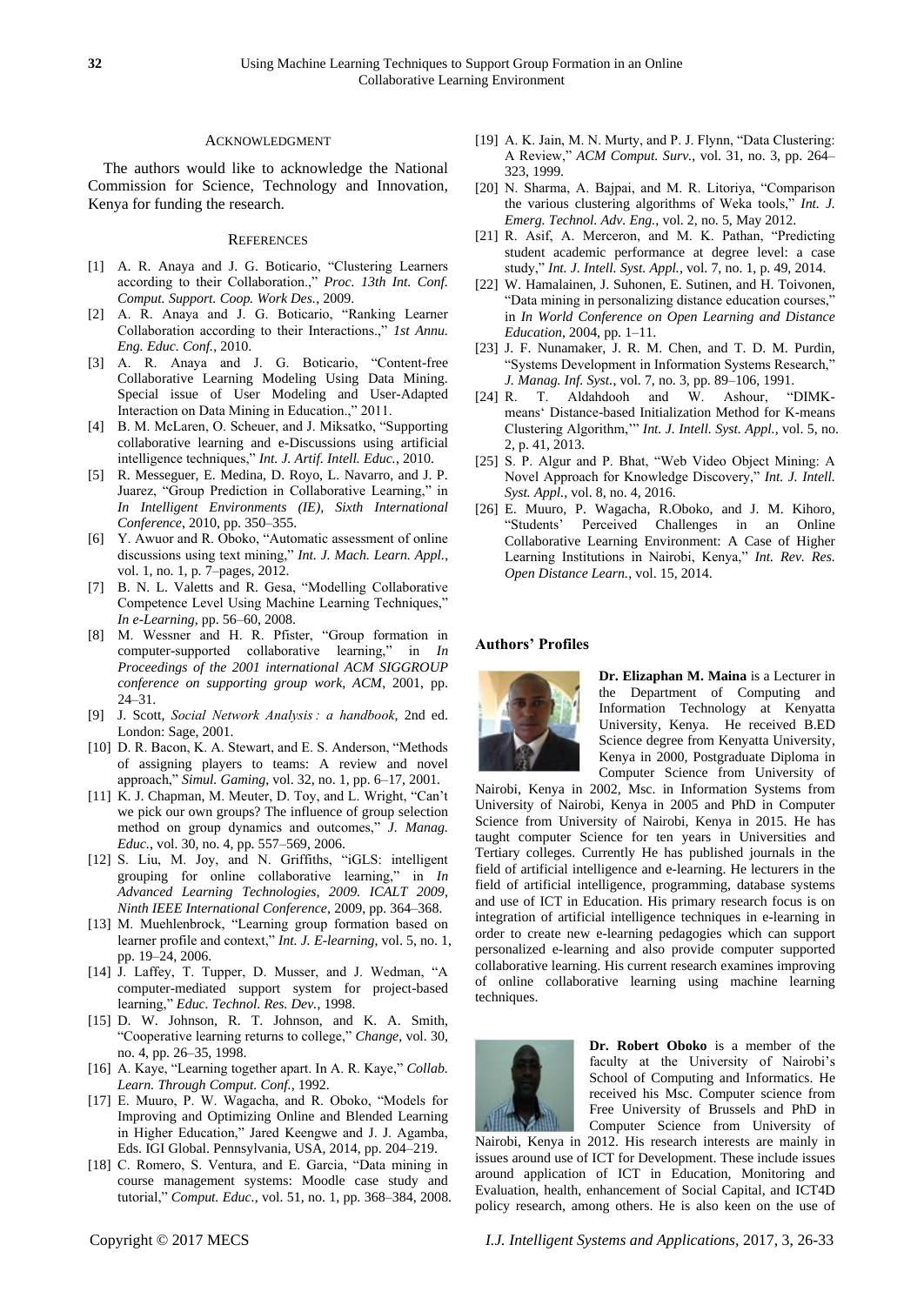#### ACKNOWLEDGMENT

The authors would like to acknowledge the National Commission for Science, Technology and Innovation, Kenya for funding the research.

#### **REFERENCES**

- [1] A. R. Anaya and J. G. Boticario, "Clustering Learners according to their Collaboration.," *Proc. 13th Int. Conf. Comput. Support. Coop. Work Des.*, 2009.
- [2] A. R. Anaya and J. G. Boticario, "Ranking Learner Collaboration according to their Interactions.," *1st Annu. Eng. Educ. Conf.*, 2010.
- [3] A. R. Anaya and J. G. Boticario, "Content-free Collaborative Learning Modeling Using Data Mining. Special issue of User Modeling and User-Adapted Interaction on Data Mining in Education.," 2011.
- [4] B. M. McLaren, O. Scheuer, and J. Miksatko, "Supporting collaborative learning and e-Discussions using artificial intelligence techniques," *Int. J. Artif. Intell. Educ.*, 2010.
- [5] R. Messeguer, E. Medina, D. Royo, L. Navarro, and J. P. Juarez, "Group Prediction in Collaborative Learning," in *In Intelligent Environments (IE), Sixth International Conference*, 2010, pp. 350–355.
- [6] Y. Awuor and R. Oboko, "Automatic assessment of online discussions using text mining," *Int. J. Mach. Learn. Appl.*, vol. 1, no. 1, p. 7–pages, 2012.
- [7] B. N. L. Valetts and R. Gesa, "Modelling Collaborative Competence Level Using Machine Learning Techniques," *In e-Learning*, pp. 56–60, 2008.
- [8] M. Wessner and H. R. Pfister, "Group formation in computer-supported collaborative learning," in *In Proceedings of the 2001 international ACM SIGGROUP conference on supporting group work, ACM*, 2001, pp. 24–31.
- [9] J. Scott, *Social Network Analysis : a handbook*, 2nd ed. London: Sage, 2001.
- [10] D. R. Bacon, K. A. Stewart, and E. S. Anderson, "Methods of assigning players to teams: A review and novel approach," *Simul. Gaming*, vol. 32, no. 1, pp. 6–17, 2001.
- [11] K. J. Chapman, M. Meuter, D. Toy, and L. Wright, "Can't we pick our own groups? The influence of group selection method on group dynamics and outcomes," *J. Manag. Educ.*, vol. 30, no. 4, pp. 557–569, 2006.
- [12] S. Liu, M. Joy, and N. Griffiths, "iGLS: intelligent grouping for online collaborative learning," in *In Advanced Learning Technologies, 2009. ICALT 2009, Ninth IEEE International Conference*, 2009, pp. 364–368.
- [13] M. Muehlenbrock, "Learning group formation based on learner profile and context," *Int. J. E-learning*, vol. 5, no. 1, pp. 19–24, 2006.
- [14] J. Laffey, T. Tupper, D. Musser, and J. Wedman, "A computer-mediated support system for project-based learning," *Educ. Technol. Res. Dev.*, 1998.
- [15] D. W. Johnson, R. T. Johnson, and K. A. Smith, "Cooperative learning returns to college," *Change*, vol. 30, no. 4, pp. 26–35, 1998.
- [16] A. Kaye, "Learning together apart. In A. R. Kaye," *Collab. Learn. Through Comput. Conf.*, 1992.
- [17] E. Muuro, P. W. Wagacha, and R. Oboko, "Models for Improving and Optimizing Online and Blended Learning in Higher Education," Jared Keengwe and J. J. Agamba, Eds. IGI Global. Pennsylvania, USA, 2014, pp. 204–219.
- [18] C. Romero, S. Ventura, and E. Garcia, "Data mining in course management systems: Moodle case study and tutorial," *Comput. Educ.*, vol. 51, no. 1, pp. 368–384, 2008.
- [19] A. K. Jain, M. N. Murty, and P. J. Flynn, "Data Clustering: A Review," *ACM Comput. Surv.*, vol. 31, no. 3, pp. 264– 323, 1999.
- [20] N. Sharma, A. Bajpai, and M. R. Litoriya, "Comparison the various clustering algorithms of Weka tools," *Int. J. Emerg. Technol. Adv. Eng.*, vol. 2, no. 5, May 2012.
- [21] R. Asif, A. Merceron, and M. K. Pathan, "Predicting student academic performance at degree level: a case study," *Int. J. Intell. Syst. Appl.*, vol. 7, no. 1, p. 49, 2014.
- [22] W. Hamalainen, J. Suhonen, E. Sutinen, and H. Toivonen, "Data mining in personalizing distance education courses," in *In World Conference on Open Learning and Distance Education*, 2004, pp. 1–11.
- [23] J. F. Nunamaker, J. R. M. Chen, and T. D. M. Purdin, "Systems Development in Information Systems Research," *J. Manag. Inf. Syst.*, vol. 7, no. 3, pp. 89–106, 1991.
- [24] R. T. Aldahdooh and W. Ashour, "DIMKmeans" Distance-based Initialization Method for K-means Clustering Algorithm,"" *Int. J. Intell. Syst. Appl.*, vol. 5, no. 2, p. 41, 2013.
- [25] S. P. Algur and P. Bhat, "Web Video Object Mining: A Novel Approach for Knowledge Discovery," *Int. J. Intell. Syst. Appl.*, vol. 8, no. 4, 2016.
- [26] E. Muuro, P. Wagacha, R.Oboko, and J. M. Kihoro, "Students" Perceived Challenges in an Online Collaborative Learning Environment: A Case of Higher Learning Institutions in Nairobi, Kenya," *Int. Rev. Res. Open Distance Learn.*, vol. 15, 2014.

#### **Authors' Profiles**



**Dr. Elizaphan M. Maina** is a Lecturer in the Department of Computing and Information Technology at Kenyatta University, Kenya. He received B.ED Science degree from Kenyatta University, Kenya in 2000, Postgraduate Diploma in Computer Science from University of

Nairobi, Kenya in 2002, Msc. in Information Systems from University of Nairobi, Kenya in 2005 and PhD in Computer Science from University of Nairobi, Kenya in 2015. He has taught computer Science for ten years in Universities and Tertiary colleges. Currently He has published journals in the field of artificial intelligence and e-learning. He lecturers in the field of artificial intelligence, programming, database systems and use of ICT in Education. His primary research focus is on integration of artificial intelligence techniques in e-learning in order to create new e-learning pedagogies which can support personalized e-learning and also provide computer supported collaborative learning. His current research examines improving of online collaborative learning using machine learning techniques.



**Dr. Robert Oboko** is a member of the faculty at the University of Nairobi's School of Computing and Informatics. He received his Msc. Computer science from Free University of Brussels and PhD in Computer Science from University of

Nairobi, Kenya in 2012. His research interests are mainly in issues around use of ICT for Development. These include issues around application of ICT in Education, Monitoring and Evaluation, health, enhancement of Social Capital, and ICT4D policy research, among others. He is also keen on the use of